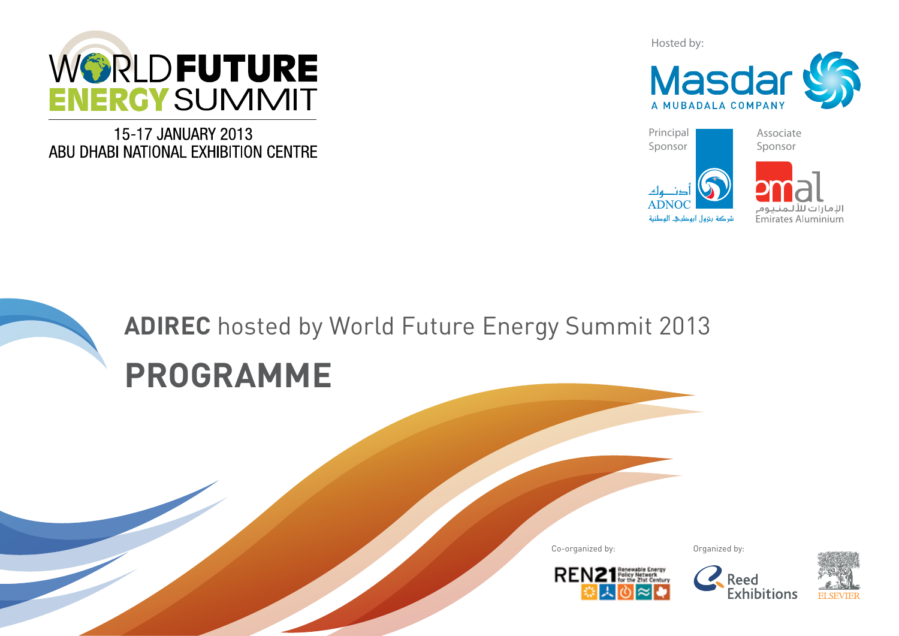

15-17 JANUARY 2013 ABU DHABI NATIONAL EXHIBITION CENTRE Hosted by:



Principal Associate Sponsor Sponsorالإمارات للأللمنبوم شركة بتزول أبوظبي الوطنية Emirates Aluminium

# **ADIREC** hosted by World Future Energy Summit 2013 **PROGRAMME**





**Reed** 

Exhibitions

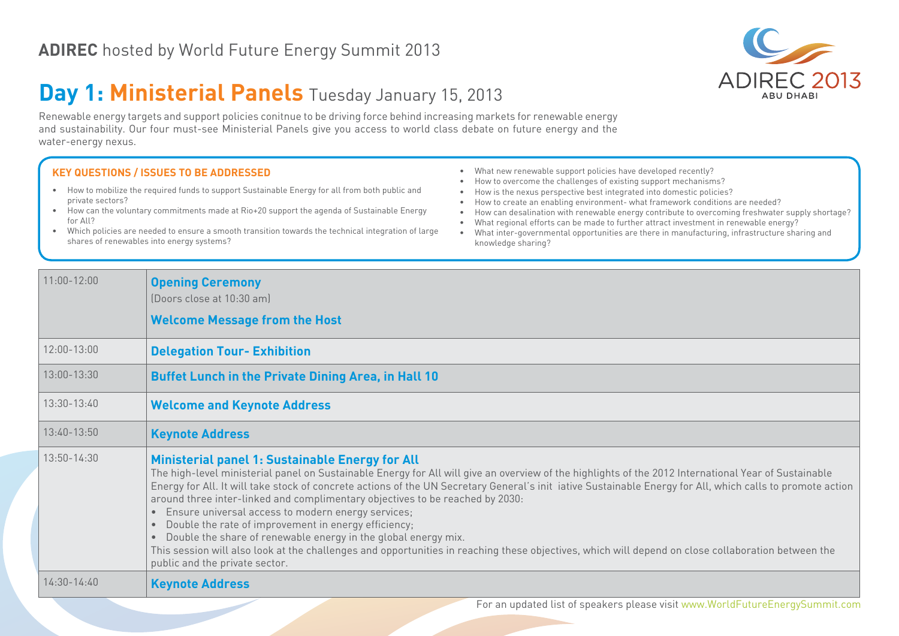## **Day 1: Ministerial Panels** Tuesday January 15, 2013

Renewable energy targets and support policies conitnue to be driving force behind increasing markets for renewable energy and sustainability. Our four must-see Ministerial Panels give you access to world class debate on future energy and the water-energy nexus.

### **KEY QUESTIONS / ISSUES TO BE ADDRESSED**

- • How to mobilize the required funds to support Sustainable Energy for all from both public and private sectors?
- • How can the voluntary commitments made at Rio+20 support the agenda of Sustainable Energy for All?
- • Which policies are needed to ensure a smooth transition towards the technical integration of large shares of renewables into energy systems?
- What new renewable support policies have developed recently?
- • How to overcome the challenges of existing support mechanisms?
- • How is the nexus perspective best integrated into domestic policies?
- • How to create an enabling environment- what framework conditions are needed?
- How can desalination with renewable energy contribute to overcoming freshwater supply shortage?
- • What regional efforts can be made to further attract investment in renewable energy?
- • What inter-governmental opportunities are there in manufacturing, infrastructure sharing and knowledge sharing?

| $11:00 - 12:00$ | <b>Opening Ceremony</b><br>(Doors close at 10:30 am)<br><b>Welcome Message from the Host</b>                                                                                                                                                                                                                                                                                                                                                                                                                                                                                                                                                                                                                                                                                                                                                             |
|-----------------|----------------------------------------------------------------------------------------------------------------------------------------------------------------------------------------------------------------------------------------------------------------------------------------------------------------------------------------------------------------------------------------------------------------------------------------------------------------------------------------------------------------------------------------------------------------------------------------------------------------------------------------------------------------------------------------------------------------------------------------------------------------------------------------------------------------------------------------------------------|
| $12:00 - 13:00$ | <b>Delegation Tour- Exhibition</b>                                                                                                                                                                                                                                                                                                                                                                                                                                                                                                                                                                                                                                                                                                                                                                                                                       |
| $13:00 - 13:30$ | <b>Buffet Lunch in the Private Dining Area, in Hall 10</b>                                                                                                                                                                                                                                                                                                                                                                                                                                                                                                                                                                                                                                                                                                                                                                                               |
| $13:30 - 13:40$ | <b>Welcome and Keynote Address</b>                                                                                                                                                                                                                                                                                                                                                                                                                                                                                                                                                                                                                                                                                                                                                                                                                       |
| $13:40-13:50$   | <b>Keynote Address</b>                                                                                                                                                                                                                                                                                                                                                                                                                                                                                                                                                                                                                                                                                                                                                                                                                                   |
| 13:50-14:30     | Ministerial panel 1: Sustainable Energy for All<br>The high-level ministerial panel on Sustainable Energy for All will give an overview of the highlights of the 2012 International Year of Sustainable<br>Energy for All. It will take stock of concrete actions of the UN Secretary General's init iative Sustainable Energy for All, which calls to promote action<br>around three inter-linked and complimentary objectives to be reached by 2030:<br>Ensure universal access to modern energy services;<br>Double the rate of improvement in energy efficiency;<br>$\bullet$<br>Double the share of renewable energy in the global energy mix.<br>$\bullet$<br>This session will also look at the challenges and opportunities in reaching these objectives, which will depend on close collaboration between the<br>public and the private sector. |
| $14:30 - 14:40$ | <b>Keynote Address</b>                                                                                                                                                                                                                                                                                                                                                                                                                                                                                                                                                                                                                                                                                                                                                                                                                                   |
|                 | For an updated list of speakers please visit www.WorldFutureEnergySummit.com                                                                                                                                                                                                                                                                                                                                                                                                                                                                                                                                                                                                                                                                                                                                                                             |

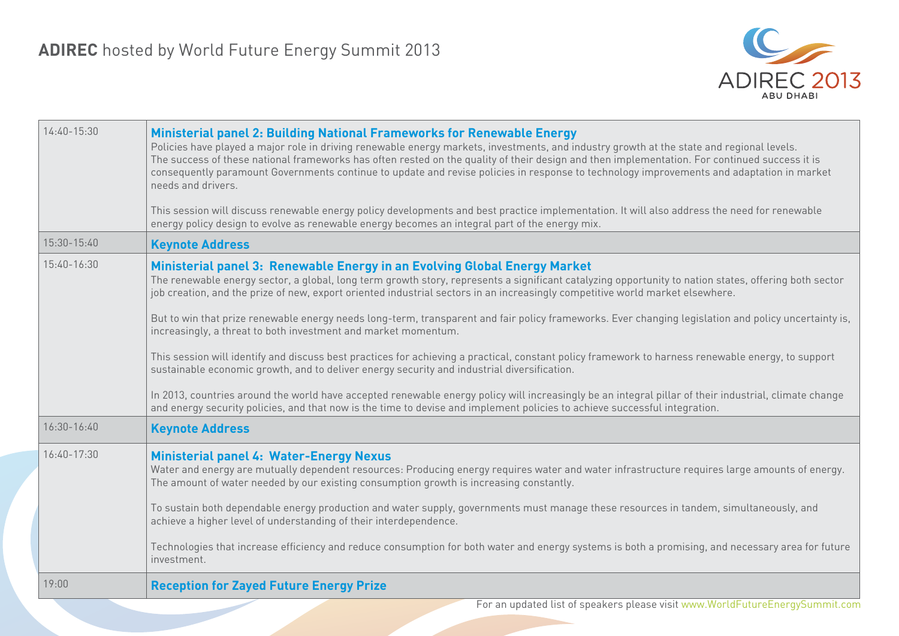

| 14:40-15:30     | <b>Ministerial panel 2: Building National Frameworks for Renewable Energy</b><br>Policies have played a major role in driving renewable energy markets, investments, and industry growth at the state and regional levels.<br>The success of these national frameworks has often rested on the quality of their design and then implementation. For continued success it is<br>consequently paramount Governments continue to update and revise policies in response to technology improvements and adaptation in market<br>needs and drivers.<br>This session will discuss renewable energy policy developments and best practice implementation. It will also address the need for renewable |
|-----------------|------------------------------------------------------------------------------------------------------------------------------------------------------------------------------------------------------------------------------------------------------------------------------------------------------------------------------------------------------------------------------------------------------------------------------------------------------------------------------------------------------------------------------------------------------------------------------------------------------------------------------------------------------------------------------------------------|
|                 | energy policy design to evolve as renewable energy becomes an integral part of the energy mix.                                                                                                                                                                                                                                                                                                                                                                                                                                                                                                                                                                                                 |
| 15:30-15:40     | <b>Keynote Address</b>                                                                                                                                                                                                                                                                                                                                                                                                                                                                                                                                                                                                                                                                         |
| 15:40-16:30     | Ministerial panel 3: Renewable Energy in an Evolving Global Energy Market<br>The renewable energy sector, a global, long term growth story, represents a significant catalyzing opportunity to nation states, offering both sector<br>job creation, and the prize of new, export oriented industrial sectors in an increasingly competitive world market elsewhere.                                                                                                                                                                                                                                                                                                                            |
|                 | But to win that prize renewable energy needs long-term, transparent and fair policy frameworks. Ever changing legislation and policy uncertainty is,<br>increasingly, a threat to both investment and market momentum.                                                                                                                                                                                                                                                                                                                                                                                                                                                                         |
|                 | This session will identify and discuss best practices for achieving a practical, constant policy framework to harness renewable energy, to support<br>sustainable economic growth, and to deliver energy security and industrial diversification.                                                                                                                                                                                                                                                                                                                                                                                                                                              |
|                 | In 2013, countries around the world have accepted renewable energy policy will increasingly be an integral pillar of their industrial, climate change<br>and energy security policies, and that now is the time to devise and implement policies to achieve successful integration.                                                                                                                                                                                                                                                                                                                                                                                                            |
| $16:30 - 16:40$ | <b>Keynote Address</b>                                                                                                                                                                                                                                                                                                                                                                                                                                                                                                                                                                                                                                                                         |
| $16:40-17:30$   | <b>Ministerial panel 4: Water-Energy Nexus</b><br>Water and energy are mutually dependent resources: Producing energy requires water and water infrastructure requires large amounts of energy.<br>The amount of water needed by our existing consumption growth is increasing constantly.                                                                                                                                                                                                                                                                                                                                                                                                     |
|                 | To sustain both dependable energy production and water supply, governments must manage these resources in tandem, simultaneously, and<br>achieve a higher level of understanding of their interdependence.                                                                                                                                                                                                                                                                                                                                                                                                                                                                                     |
|                 | Technologies that increase efficiency and reduce consumption for both water and energy systems is both a promising, and necessary area for future<br>investment.                                                                                                                                                                                                                                                                                                                                                                                                                                                                                                                               |
| 19:00           | <b>Reception for Zayed Future Energy Prize</b>                                                                                                                                                                                                                                                                                                                                                                                                                                                                                                                                                                                                                                                 |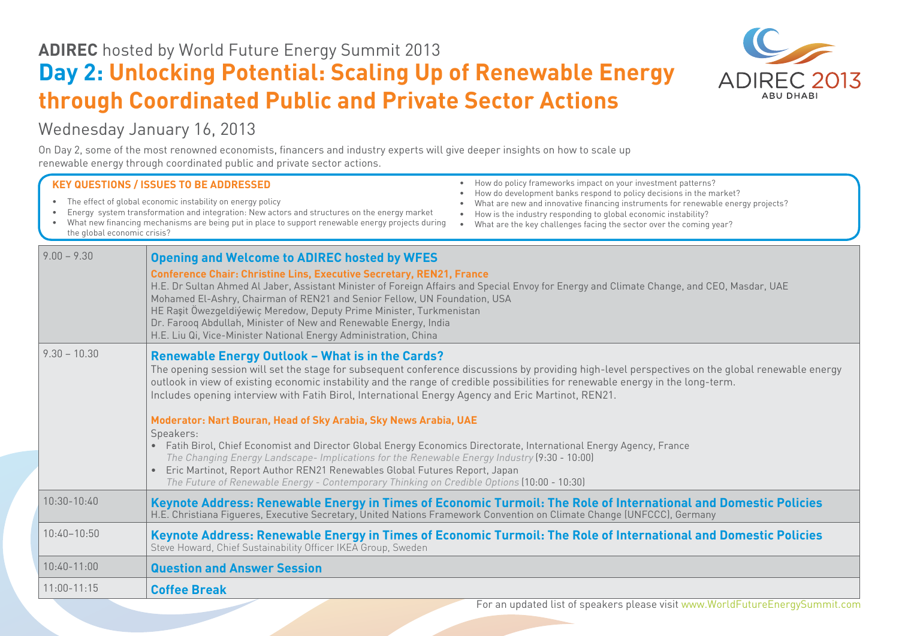#### For an updated list of speakers please visit www.WorldFutureEnergySummit.com 9.00 – 9.30 **Opening and Welcome to ADIREC hosted by WFES Conference Chair: Christine Lins, Executive Secretary, REN21, France** H.E. Dr Sultan Ahmed Al Jaber, Assistant Minister of Foreign Affairs and Special Envoy for Energy and Climate Change, and CEO, Masdar, UAE Mohamed El-Ashry, Chairman of REN21 and Senior Fellow, UN Foundation, USA HE Raşit Öwezgeldiýewiç Meredow, Deputy Prime Minister, Turkmenistan Dr. Farooq Abdullah, Minister of New and Renewable Energy, India H.E. Liu Qi, Vice-Minister National Energy Administration, China 9.30 – 10.30 **Renewable Energy Outlook – What is in the Cards?**  The opening session will set the stage for subsequent conference discussions by providing high-level perspectives on the global renewable energy outlook in view of existing economic instability and the range of credible possibilities for renewable energy in the long-term. Includes opening interview with Fatih Birol, International Energy Agency and Eric Martinot, REN21. **Moderator: Nart Bouran, Head of Sky Arabia, Sky News Arabia, UAE** Speakers: • Fatih Birol, Chief Economist and Director Global Energy Economics Directorate, International Energy Agency, France The Changing Energy Landscape- Implications for the Renewable Energy Industry (9:30 - 10:00) • Eric Martinot, Report Author REN21 Renewables Global Futures Report, Japan The Future of Renewable Energy - Contemporary Thinking on Credible Options (10:00 - 10:30) 10:30-10:40 **Keynote Address: Renewable Energy in Times of Economic Turmoil: The Role of International and Domestic Policies** H.E. Christiana Figueres, Executive Secretary, United Nations Framework Convention on Climate Change (UNFCCC), Germany 10:40–10:50 **Keynote Address: Renewable Energy in Times of Economic Turmoil: The Role of International and Domestic Policies** Steve Howard, Chief Sustainability Officer IKEA Group, Sweden 10:40-11:00 **Question and Answer Session** 11:00-11:15 **Coffee Break KEY QUESTIONS / ISSUES TO BE ADDRESSED** • The effect of global economic instability on energy policy • Energy system transformation and integration: New actors and structures on the energy market • What new financing mechanisms are being put in place to support renewable energy projects during the global economic crisis? • How do policy frameworks impact on your investment patterns? • How do development banks respond to policy decisions in the market? • What are new and innovative financing instruments for renewable energy projects? • How is the industry responding to global economic instability? • What are the key challenges facing the sector over the coming year?

# Wednesday January 16, 2013

On Day 2, some of the most renowned economists, financers and industry experts will give deeper insights on how to scale up renewable energy through coordinated public and private sector actions.



**ADIREC** hosted by World Future Energy Summit 2013 **Day 2: Unlocking Potential: Scaling Up of Renewable Energy through Coordinated Public and Private Sector Actions**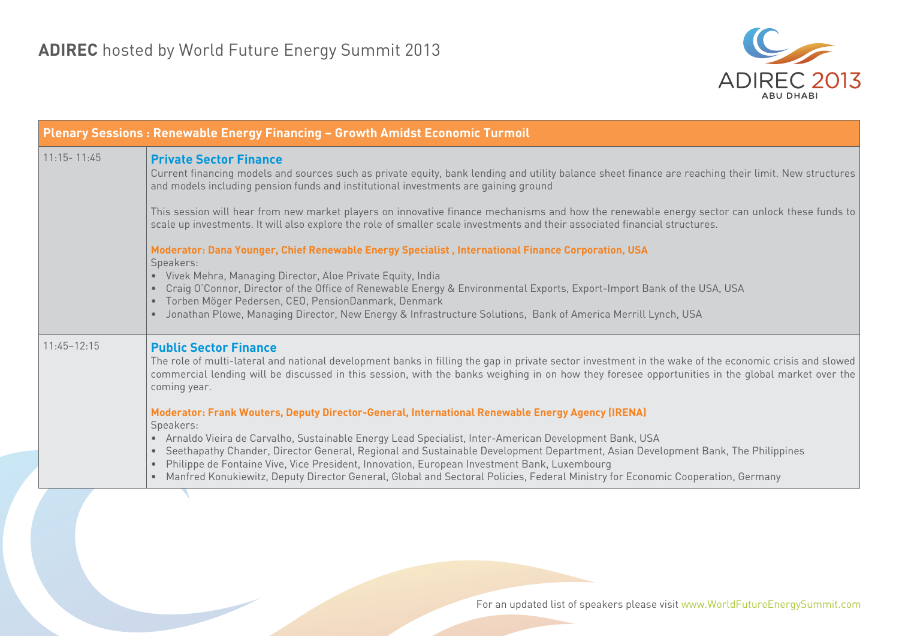

|                 | <b>Plenary Sessions: Renewable Energy Financing - Growth Amidst Economic Turmoil</b>                                                                                                                                                                                                                                                                                                                                                                                                                                                                                                          |
|-----------------|-----------------------------------------------------------------------------------------------------------------------------------------------------------------------------------------------------------------------------------------------------------------------------------------------------------------------------------------------------------------------------------------------------------------------------------------------------------------------------------------------------------------------------------------------------------------------------------------------|
| $11:15 - 11:45$ | <b>Private Sector Finance</b><br>Current financing models and sources such as private equity, bank lending and utility balance sheet finance are reaching their limit. New structures<br>and models including pension funds and institutional investments are gaining ground                                                                                                                                                                                                                                                                                                                  |
|                 | This session will hear from new market players on innovative finance mechanisms and how the renewable energy sector can unlock these funds to<br>scale up investments. It will also explore the role of smaller scale investments and their associated financial structures.                                                                                                                                                                                                                                                                                                                  |
|                 | Moderator: Dana Younger, Chief Renewable Energy Specialist, International Finance Corporation, USA<br>Speakers:<br>· Vivek Mehra, Managing Director, Aloe Private Equity, India<br>• Craig O'Connor, Director of the Office of Renewable Energy & Environmental Exports, Export-Import Bank of the USA, USA<br>Torben Möger Pedersen, CEO, PensionDanmark, Denmark<br>Jonathan Plowe, Managing Director, New Energy & Infrastructure Solutions, Bank of America Merrill Lynch, USA                                                                                                            |
| $11:45 - 12:15$ | <b>Public Sector Finance</b><br>The role of multi-lateral and national development banks in filling the gap in private sector investment in the wake of the economic crisis and slowed<br>commercial lending will be discussed in this session, with the banks weighing in on how they foresee opportunities in the global market over the<br>coming year.                                                                                                                                                                                                                                    |
|                 | Moderator: Frank Wouters, Deputy Director-General, International Renewable Energy Agency (IRENA)<br>Speakers:<br>· Arnaldo Vieira de Carvalho, Sustainable Energy Lead Specialist, Inter-American Development Bank, USA<br>Seethapathy Chander, Director General, Regional and Sustainable Development Department, Asian Development Bank, The Philippines<br>Philippe de Fontaine Vive, Vice President, Innovation, European Investment Bank, Luxembourg<br>• Manfred Konukiewitz, Deputy Director General, Global and Sectoral Policies, Federal Ministry for Economic Cooperation, Germany |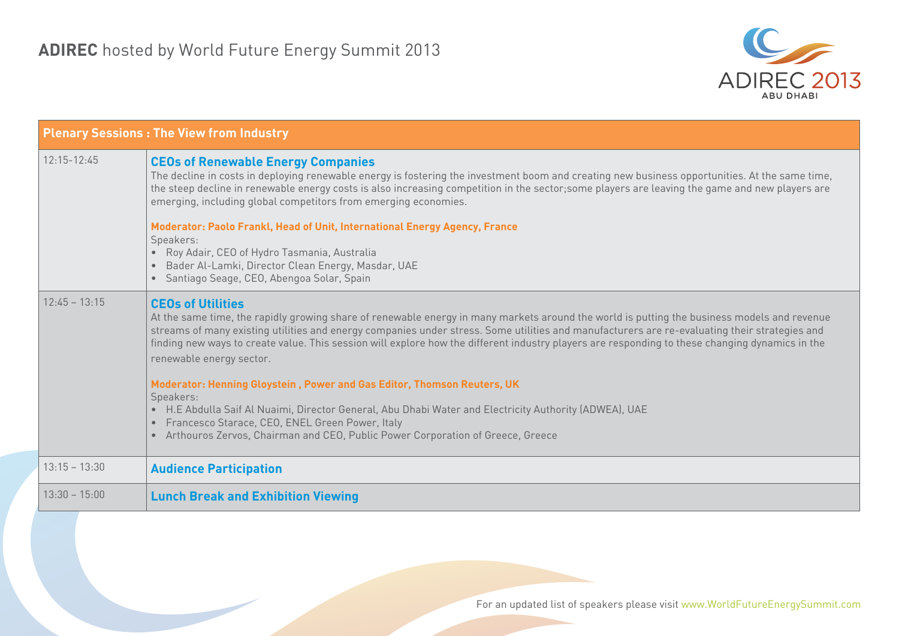

| <b>Plenary Sessions: The View from Industry</b> |                                                                                                                                                                                                                                                                                                                                                                                                                                                                                                                                                                                                                                                                                                                                                                                                                                                |  |
|-------------------------------------------------|------------------------------------------------------------------------------------------------------------------------------------------------------------------------------------------------------------------------------------------------------------------------------------------------------------------------------------------------------------------------------------------------------------------------------------------------------------------------------------------------------------------------------------------------------------------------------------------------------------------------------------------------------------------------------------------------------------------------------------------------------------------------------------------------------------------------------------------------|--|
| $12:15 - 12:45$                                 | <b>CEOs of Renewable Energy Companies</b><br>The decline in costs in deploying renewable energy is fostering the investment boom and creating new business opportunities. At the same time,<br>the steep decline in renewable energy costs is also increasing competition in the sector; some players are leaving the game and new players are<br>emerging, including global competitors from emerging economies.<br>Moderator: Paolo Frankl, Head of Unit, International Energy Agency, France<br>Speakers:<br>• Roy Adair, CEO of Hydro Tasmania, Australia<br>• Bader Al-Lamki, Director Clean Energy, Masdar, UAE<br>· Santiago Seage, CEO, Abengoa Solar, Spain                                                                                                                                                                           |  |
| $12:45 - 13:15$                                 | <b>CEOs of Utilities</b><br>At the same time, the rapidly growing share of renewable energy in many markets around the world is putting the business models and revenue<br>streams of many existing utilities and energy companies under stress. Some utilities and manufacturers are re-evaluating their strategies and<br>finding new ways to create value. This session will explore how the different industry players are responding to these changing dynamics in the<br>renewable energy sector.<br>Moderator: Henning Gloystein, Power and Gas Editor, Thomson Reuters, UK<br>Speakers:<br>. H.E Abdulla Saif Al Nuaimi, Director General, Abu Dhabi Water and Electricity Authority (ADWEA), UAE<br>Francesco Starace, CEO, ENEL Green Power, Italy<br>Arthouros Zervos, Chairman and CEO, Public Power Corporation of Greece, Greece |  |
| $13:15 - 13:30$                                 | <b>Audience Participation</b>                                                                                                                                                                                                                                                                                                                                                                                                                                                                                                                                                                                                                                                                                                                                                                                                                  |  |
| $13:30 - 15:00$                                 |                                                                                                                                                                                                                                                                                                                                                                                                                                                                                                                                                                                                                                                                                                                                                                                                                                                |  |
|                                                 | <b>Lunch Break and Exhibition Viewing</b>                                                                                                                                                                                                                                                                                                                                                                                                                                                                                                                                                                                                                                                                                                                                                                                                      |  |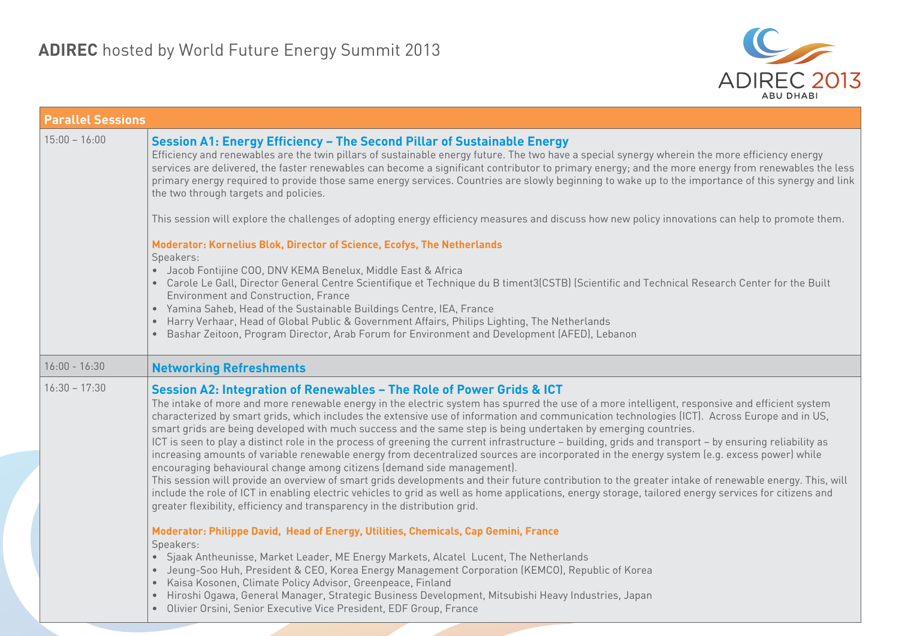

| <b>Parallel Sessions</b> |                                                                                                                                                                                                                                                                                                                                                                                                                                                                                                                                                                                                                                                                                                                                                                                                                                                                                                                                                                                                                                                                                                                                                                                                                                                                              |  |
|--------------------------|------------------------------------------------------------------------------------------------------------------------------------------------------------------------------------------------------------------------------------------------------------------------------------------------------------------------------------------------------------------------------------------------------------------------------------------------------------------------------------------------------------------------------------------------------------------------------------------------------------------------------------------------------------------------------------------------------------------------------------------------------------------------------------------------------------------------------------------------------------------------------------------------------------------------------------------------------------------------------------------------------------------------------------------------------------------------------------------------------------------------------------------------------------------------------------------------------------------------------------------------------------------------------|--|
| $15:00 - 16:00$          | Session A1: Energy Efficiency - The Second Pillar of Sustainable Energy<br>Efficiency and renewables are the twin pillars of sustainable energy future. The two have a special synergy wherein the more efficiency energy<br>services are delivered, the faster renewables can become a significant contributor to primary energy; and the more energy from renewables the less<br>primary energy required to provide those same energy services. Countries are slowly beginning to wake up to the importance of this synergy and link<br>the two through targets and policies.<br>This session will explore the challenges of adopting energy efficiency measures and discuss how new policy innovations can help to promote them.<br>Moderator: Kornelius Blok, Director of Science, Ecofys, The Netherlands                                                                                                                                                                                                                                                                                                                                                                                                                                                               |  |
|                          | Speakers:<br>• Jacob Fontijine COO, DNV KEMA Benelux, Middle East & Africa<br>• Carole Le Gall, Director General Centre Scientifique et Technique du B timent3(CSTB) (Scientific and Technical Research Center for the Built<br><b>Environment and Construction, France</b><br>Yamina Saheb, Head of the Sustainable Buildings Centre, IEA, France<br>$\bullet$<br>Harry Verhaar, Head of Global Public & Government Affairs, Philips Lighting, The Netherlands<br>Bashar Zeitoon, Program Director, Arab Forum for Environment and Development (AFED), Lebanon                                                                                                                                                                                                                                                                                                                                                                                                                                                                                                                                                                                                                                                                                                              |  |
| $16:00 - 16:30$          | <b>Networking Refreshments</b>                                                                                                                                                                                                                                                                                                                                                                                                                                                                                                                                                                                                                                                                                                                                                                                                                                                                                                                                                                                                                                                                                                                                                                                                                                               |  |
| $16:30 - 17:30$          | Session A2: Integration of Renewables - The Role of Power Grids & ICT<br>The intake of more and more renewable energy in the electric system has spurred the use of a more intelligent, responsive and efficient system<br>characterized by smart grids, which includes the extensive use of information and communication technologies (ICT). Across Europe and in US,<br>smart grids are being developed with much success and the same step is being undertaken by emerging countries.<br>ICT is seen to play a distinct role in the process of greening the current infrastructure - building, grids and transport - by ensuring reliability as<br>increasing amounts of variable renewable energy from decentralized sources are incorporated in the energy system (e.g. excess power) while<br>encouraging behavioural change among citizens (demand side management).<br>This session will provide an overview of smart grids developments and their future contribution to the greater intake of renewable energy. This, will<br>include the role of ICT in enabling electric vehicles to grid as well as home applications, energy storage, tailored energy services for citizens and<br>greater flexibility, efficiency and transparency in the distribution grid. |  |
|                          | Moderator: Philippe David, Head of Energy, Utilities, Chemicals, Cap Gemini, France<br>Speakers:<br>• Sjaak Antheunisse, Market Leader, ME Energy Markets, Alcatel Lucent, The Netherlands<br>Jeung-Soo Huh, President & CEO, Korea Energy Management Corporation (KEMCO), Republic of Korea<br>$\bullet$<br>Kaisa Kosonen, Climate Policy Advisor, Greenpeace, Finland<br>$\bullet$<br>Hiroshi Ogawa, General Manager, Strategic Business Development, Mitsubishi Heavy Industries, Japan<br>Olivier Orsini, Senior Executive Vice President, EDF Group, France<br>$\bullet$                                                                                                                                                                                                                                                                                                                                                                                                                                                                                                                                                                                                                                                                                                |  |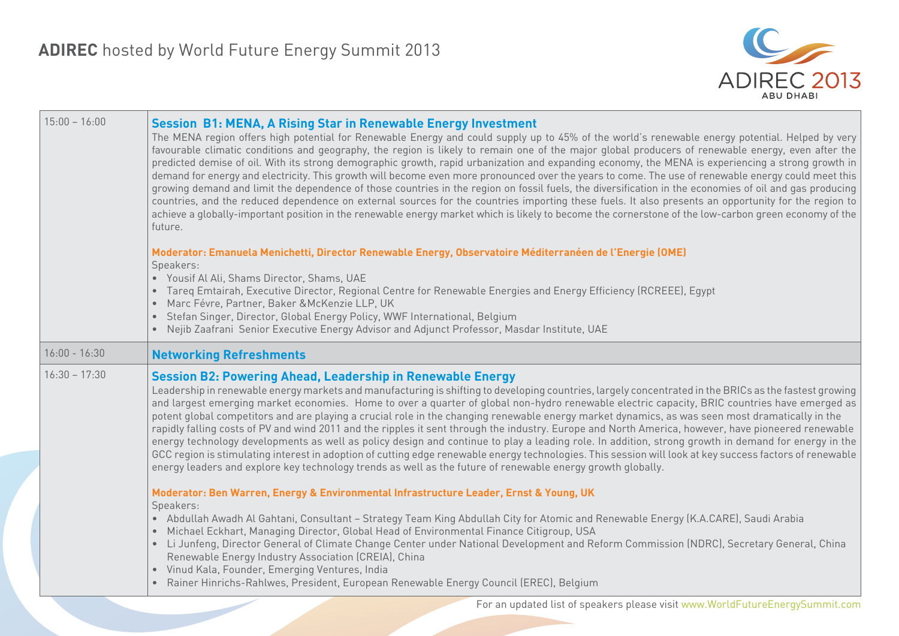

| $15:00 - 16:00$ | <b>Session B1: MENA, A Rising Star in Renewable Energy Investment</b><br>The MENA region offers high potential for Renewable Energy and could supply up to 45% of the world's renewable energy potential. Helped by very<br>favourable climatic conditions and geography, the region is likely to remain one of the major global producers of renewable energy, even after the<br>predicted demise of oil. With its strong demographic growth, rapid urbanization and expanding economy, the MENA is experiencing a strong growth in<br>demand for energy and electricity. This growth will become even more pronounced over the years to come. The use of renewable energy could meet this<br>growing demand and limit the dependence of those countries in the region on fossil fuels, the diversification in the economies of oil and gas producing<br>countries, and the reduced dependence on external sources for the countries importing these fuels. It also presents an opportunity for the region to<br>achieve a globally-important position in the renewable energy market which is likely to become the cornerstone of the low-carbon green economy of the<br>future. |
|-----------------|------------------------------------------------------------------------------------------------------------------------------------------------------------------------------------------------------------------------------------------------------------------------------------------------------------------------------------------------------------------------------------------------------------------------------------------------------------------------------------------------------------------------------------------------------------------------------------------------------------------------------------------------------------------------------------------------------------------------------------------------------------------------------------------------------------------------------------------------------------------------------------------------------------------------------------------------------------------------------------------------------------------------------------------------------------------------------------------------------------------------------------------------------------------------------------|
|                 | Moderator: Emanuela Menichetti, Director Renewable Energy, Observatoire Méditerranéen de l'Energie (OME)<br>Speakers:<br>• Yousif Al Ali, Shams Director, Shams, UAE<br>• Tareq Emtairah, Executive Director, Regional Centre for Renewable Energies and Energy Efficiency (RCREEE), Egypt<br>· Marc Févre, Partner, Baker & McKenzie LLP, UK<br>• Stefan Singer, Director, Global Energy Policy, WWF International, Belgium<br>. Nejib Zaafrani Senior Executive Energy Advisor and Adjunct Professor, Masdar Institute, UAE                                                                                                                                                                                                                                                                                                                                                                                                                                                                                                                                                                                                                                                      |
| $16:00 - 16:30$ |                                                                                                                                                                                                                                                                                                                                                                                                                                                                                                                                                                                                                                                                                                                                                                                                                                                                                                                                                                                                                                                                                                                                                                                    |
|                 | <b>Networking Refreshments</b>                                                                                                                                                                                                                                                                                                                                                                                                                                                                                                                                                                                                                                                                                                                                                                                                                                                                                                                                                                                                                                                                                                                                                     |
| $16:30 - 17:30$ | <b>Session B2: Powering Ahead, Leadership in Renewable Energy</b><br>Leadership in renewable energy markets and manufacturing is shifting to developing countries, largely concentrated in the BRICs as the fastest growing<br>and largest emerging market economies. Home to over a quarter of global non-hydro renewable electric capacity, BRIC countries have emerged as<br>potent global competitors and are playing a crucial role in the changing renewable energy market dynamics, as was seen most dramatically in the<br>rapidly falling costs of PV and wind 2011 and the ripples it sent through the industry. Europe and North America, however, have pioneered renewable<br>energy technology developments as well as policy design and continue to play a leading role. In addition, strong growth in demand for energy in the<br>GCC region is stimulating interest in adoption of cutting edge renewable energy technologies. This session will look at key success factors of renewable<br>energy leaders and explore key technology trends as well as the future of renewable energy growth globally.                                                           |
|                 | Moderator: Ben Warren, Energy & Environmental Infrastructure Leader, Ernst & Young, UK                                                                                                                                                                                                                                                                                                                                                                                                                                                                                                                                                                                                                                                                                                                                                                                                                                                                                                                                                                                                                                                                                             |
|                 | Speakers:<br>• Abdullah Awadh Al Gahtani, Consultant – Strategy Team King Abdullah City for Atomic and Renewable Energy (K.A.CARE), Saudi Arabia<br>• Michael Eckhart, Managing Director, Global Head of Environmental Finance Citigroup, USA<br>• Li Junfeng, Director General of Climate Change Center under National Development and Reform Commission (NDRC), Secretary General, China<br>Renewable Energy Industry Association (CREIA), China<br>· Vinud Kala, Founder, Emerging Ventures, India<br>· Rainer Hinrichs-Rahlwes, President, European Renewable Energy Council (EREC), Belgium                                                                                                                                                                                                                                                                                                                                                                                                                                                                                                                                                                                   |
|                 | For an updated list of speakers please visit www.WorldFutureEnergySummit.com                                                                                                                                                                                                                                                                                                                                                                                                                                                                                                                                                                                                                                                                                                                                                                                                                                                                                                                                                                                                                                                                                                       |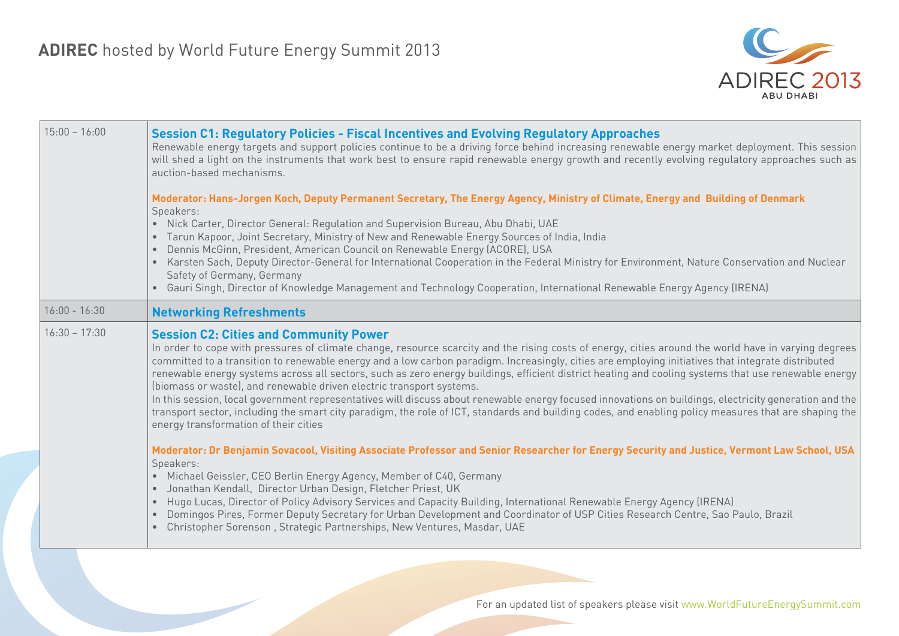

| $15:00 - 16:00$ | <b>Session C1: Regulatory Policies - Fiscal Incentives and Evolving Regulatory Approaches</b><br>Renewable energy targets and support policies continue to be a driving force behind increasing renewable energy market deployment. This session<br>will shed a light on the instruments that work best to ensure rapid renewable energy growth and recently evolving regulatory approaches such as<br>auction-based mechanisms.<br>Moderator: Hans-Jorgen Koch, Deputy Permanent Secretary, The Energy Agency, Ministry of Climate, Energy and Building of Denmark<br>Speakers:<br>. Nick Carter, Director General: Regulation and Supervision Bureau, Abu Dhabi, UAE<br>Tarun Kapoor, Joint Secretary, Ministry of New and Renewable Energy Sources of India, India<br>$\bullet$<br>Dennis McGinn, President, American Council on Renewable Energy (ACORE), USA<br>$\bullet$<br>Karsten Sach, Deputy Director-General for International Cooperation in the Federal Ministry for Environment, Nature Conservation and Nuclear<br>Safety of Germany, Germany<br>Gauri Singh, Director of Knowledge Management and Technology Cooperation, International Renewable Energy Agency (IRENA)                                                                                                                                                                                                                                                                                                                                                                                                                                                   |
|-----------------|-------------------------------------------------------------------------------------------------------------------------------------------------------------------------------------------------------------------------------------------------------------------------------------------------------------------------------------------------------------------------------------------------------------------------------------------------------------------------------------------------------------------------------------------------------------------------------------------------------------------------------------------------------------------------------------------------------------------------------------------------------------------------------------------------------------------------------------------------------------------------------------------------------------------------------------------------------------------------------------------------------------------------------------------------------------------------------------------------------------------------------------------------------------------------------------------------------------------------------------------------------------------------------------------------------------------------------------------------------------------------------------------------------------------------------------------------------------------------------------------------------------------------------------------------------------------------------------------------------------------------------------------|
| $16:00 - 16:30$ | <b>Networking Refreshments</b>                                                                                                                                                                                                                                                                                                                                                                                                                                                                                                                                                                                                                                                                                                                                                                                                                                                                                                                                                                                                                                                                                                                                                                                                                                                                                                                                                                                                                                                                                                                                                                                                            |
| $16:30 - 17:30$ | <b>Session C2: Cities and Community Power</b><br>In order to cope with pressures of climate change, resource scarcity and the rising costs of energy, cities around the world have in varying degrees<br>committed to a transition to renewable energy and a low carbon paradigm. Increasingly, cities are employing initiatives that integrate distributed<br>renewable energy systems across all sectors, such as zero energy buildings, efficient district heating and cooling systems that use renewable energy<br>(biomass or waste), and renewable driven electric transport systems.<br>In this session, local government representatives will discuss about renewable energy focused innovations on buildings, electricity generation and the<br>transport sector, including the smart city paradigm, the role of ICT, standards and building codes, and enabling policy measures that are shaping the<br>energy transformation of their cities<br>Moderator: Dr Benjamin Sovacool, Visiting Associate Professor and Senior Researcher for Energy Security and Justice, Vermont Law School, USA<br>Speakers:<br>• Michael Geissler, CEO Berlin Energy Agency, Member of C40, Germany<br>Jonathan Kendall, Director Urban Design, Fletcher Priest, UK<br>$\bullet$<br>Hugo Lucas, Director of Policy Advisory Services and Capacity Building, International Renewable Energy Agency (IRENA)<br>$\bullet$<br>Domingos Pires, Former Deputy Secretary for Urban Development and Coordinator of USP Cities Research Centre, Sao Paulo, Brazil<br>$\bullet$<br>Christopher Sorenson, Strategic Partnerships, New Ventures, Masdar, UAE |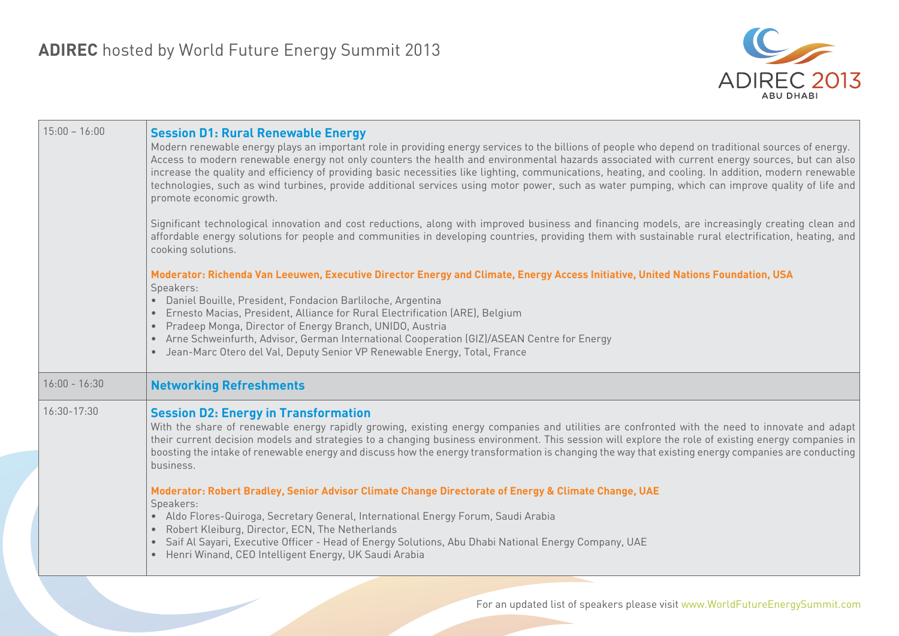

| $15:00 - 16:00$ | <b>Session D1: Rural Renewable Energy</b><br>Modern renewable energy plays an important role in providing energy services to the billions of people who depend on traditional sources of energy.<br>Access to modern renewable energy not only counters the health and environmental hazards associated with current energy sources, but can also<br>increase the quality and efficiency of providing basic necessities like lighting, communications, heating, and cooling. In addition, modern renewable<br>technologies, such as wind turbines, provide additional services using motor power, such as water pumping, which can improve quality of life and<br>promote economic growth. |
|-----------------|--------------------------------------------------------------------------------------------------------------------------------------------------------------------------------------------------------------------------------------------------------------------------------------------------------------------------------------------------------------------------------------------------------------------------------------------------------------------------------------------------------------------------------------------------------------------------------------------------------------------------------------------------------------------------------------------|
|                 | Significant technological innovation and cost reductions, along with improved business and financing models, are increasingly creating clean and<br>affordable energy solutions for people and communities in developing countries, providing them with sustainable rural electrification, heating, and<br>cooking solutions.                                                                                                                                                                                                                                                                                                                                                              |
|                 | Moderator: Richenda Van Leeuwen, Executive Director Energy and Climate, Energy Access Initiative, United Nations Foundation, USA<br>Speakers:<br>Daniel Bouille, President, Fondacion Barliloche, Argentina<br>Ernesto Macias, President, Alliance for Rural Electrification (ARE), Belgium<br>Pradeep Monga, Director of Energy Branch, UNIDO, Austria<br>$\bullet$<br>• Arne Schweinfurth, Advisor, German International Cooperation (GIZ)/ASEAN Centre for Energy<br>Jean-Marc Otero del Val, Deputy Senior VP Renewable Energy, Total, France<br>$\bullet$                                                                                                                             |
| $16:00 - 16:30$ | <b>Networking Refreshments</b>                                                                                                                                                                                                                                                                                                                                                                                                                                                                                                                                                                                                                                                             |
| 16:30-17:30     | <b>Session D2: Energy in Transformation</b><br>With the share of renewable energy rapidly growing, existing energy companies and utilities are confronted with the need to innovate and adapt<br>their current decision models and strategies to a changing business environment. This session will explore the role of existing energy companies in<br>boosting the intake of renewable energy and discuss how the energy transformation is changing the way that existing energy companies are conducting<br>business.                                                                                                                                                                   |
|                 | Moderator: Robert Bradley, Senior Advisor Climate Change Directorate of Energy & Climate Change, UAE<br>Speakers:<br>• Aldo Flores-Quiroga, Secretary General, International Energy Forum, Saudi Arabia<br>Robert Kleiburg, Director, ECN, The Netherlands<br>$\bullet$                                                                                                                                                                                                                                                                                                                                                                                                                    |
|                 | · Saif Al Sayari, Executive Officer - Head of Energy Solutions, Abu Dhabi National Energy Company, UAE<br>Henri Winand, CEO Intelligent Energy, UK Saudi Arabia                                                                                                                                                                                                                                                                                                                                                                                                                                                                                                                            |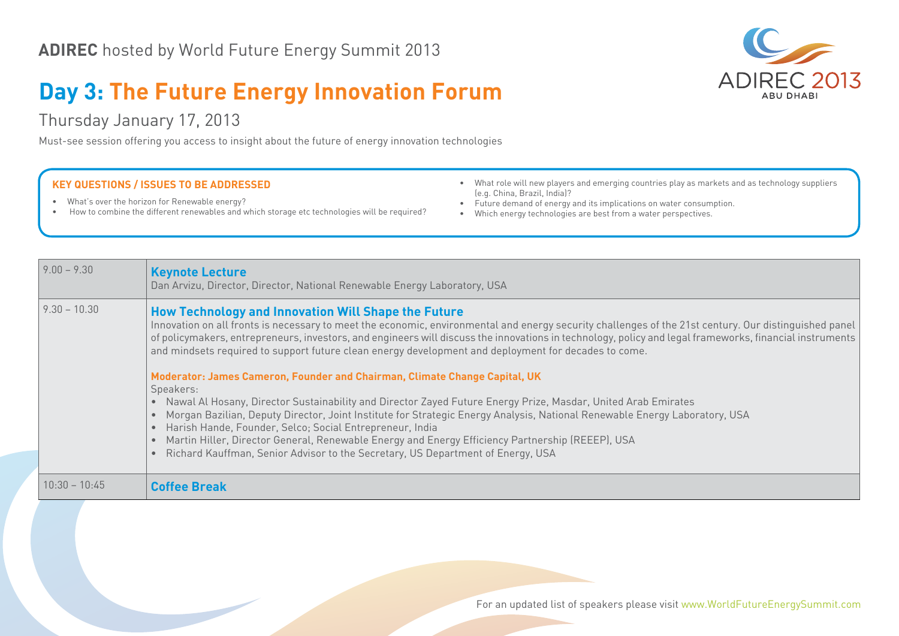# **Day 3: The Future Energy Innovation Forum**

## Thursday January 17, 2013

Must-see session offering you access to insight about the future of energy innovation technologies

#### **KEY QUESTIONS / ISSUES TO BE ADDRESSED**

- • What's over the horizon for Renewable energy?
- • How to combine the different renewables and which storage etc technologies will be required?
- • What role will new players and emerging countries play as markets and as technology suppliers (e.g. China, Brazil, India)?
- • Future demand of energy and its implications on water consumption.
- • Which energy technologies are best from a water perspectives.

| $9.00 - 9.30$   | <b>Keynote Lecture</b><br>Dan Arvizu, Director, Director, National Renewable Energy Laboratory, USA                                                                                                                                                                                                                                                                                                                                                                                                                                                                                                                              |
|-----------------|----------------------------------------------------------------------------------------------------------------------------------------------------------------------------------------------------------------------------------------------------------------------------------------------------------------------------------------------------------------------------------------------------------------------------------------------------------------------------------------------------------------------------------------------------------------------------------------------------------------------------------|
| $9.30 - 10.30$  | <b>How Technology and Innovation Will Shape the Future</b><br>Innovation on all fronts is necessary to meet the economic, environmental and energy security challenges of the 21st century. Our distinguished panel<br>of policymakers, entrepreneurs, investors, and engineers will discuss the innovations in technology, policy and legal frameworks, financial instruments<br>and mindsets required to support future clean energy development and deployment for decades to come.                                                                                                                                           |
|                 | Moderator: James Cameron, Founder and Chairman, Climate Change Capital, UK<br>Speakers:<br>Nawal Al Hosany, Director Sustainability and Director Zayed Future Energy Prize, Masdar, United Arab Emirates<br>$\bullet$<br>Morgan Bazilian, Deputy Director, Joint Institute for Strategic Energy Analysis, National Renewable Energy Laboratory, USA<br>Harish Hande, Founder, Selco; Social Entrepreneur, India<br>Martin Hiller, Director General, Renewable Energy and Energy Efficiency Partnership (REEEP), USA<br>$\bullet$<br>Richard Kauffman, Senior Advisor to the Secretary, US Department of Energy, USA<br>$\bullet$ |
| $10:30 - 10:45$ | <b>Coffee Break</b>                                                                                                                                                                                                                                                                                                                                                                                                                                                                                                                                                                                                              |
|                 |                                                                                                                                                                                                                                                                                                                                                                                                                                                                                                                                                                                                                                  |

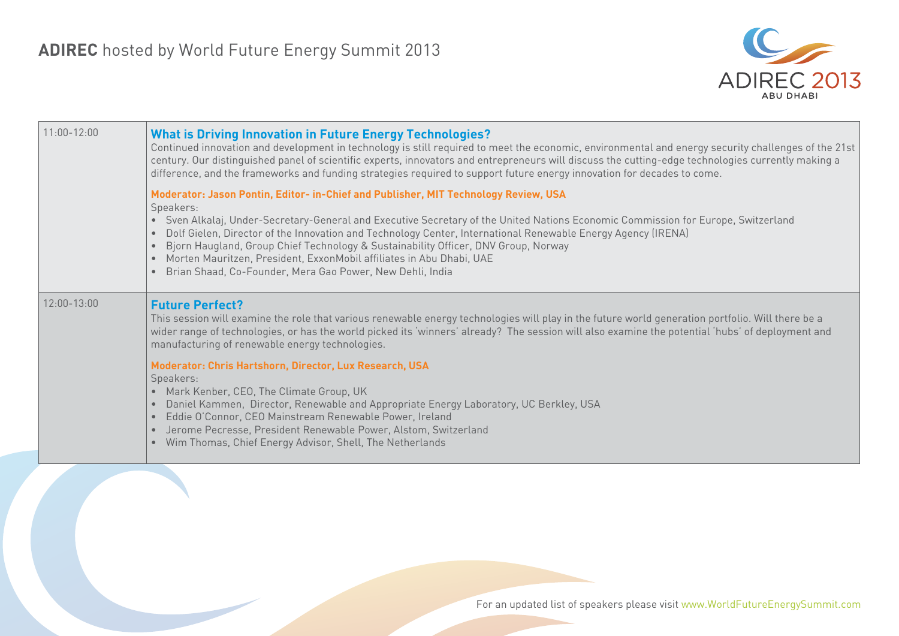

| $11:00 - 12:00$ | <b>What is Driving Innovation in Future Energy Technologies?</b><br>Continued innovation and development in technology is still required to meet the economic, environmental and energy security challenges of the 21st<br>century. Our distinguished panel of scientific experts, innovators and entrepreneurs will discuss the cutting-edge technologies currently making a<br>difference, and the frameworks and funding strategies required to support future energy innovation for decades to come.                                                                                                                                                                                                                                                 |
|-----------------|----------------------------------------------------------------------------------------------------------------------------------------------------------------------------------------------------------------------------------------------------------------------------------------------------------------------------------------------------------------------------------------------------------------------------------------------------------------------------------------------------------------------------------------------------------------------------------------------------------------------------------------------------------------------------------------------------------------------------------------------------------|
|                 | Moderator: Jason Pontin, Editor- in-Chief and Publisher, MIT Technology Review, USA<br>Speakers:<br>• Sven Alkalaj, Under-Secretary-General and Executive Secretary of the United Nations Economic Commission for Europe, Switzerland<br>Dolf Gielen, Director of the Innovation and Technology Center, International Renewable Energy Agency (IRENA)<br>Bjorn Haugland, Group Chief Technology & Sustainability Officer, DNV Group, Norway<br>• Morten Mauritzen, President, ExxonMobil affiliates in Abu Dhabi, UAE<br>Brian Shaad, Co-Founder, Mera Gao Power, New Dehli, India<br>$\bullet$                                                                                                                                                          |
| $12:00 - 13:00$ | <b>Future Perfect?</b><br>This session will examine the role that various renewable energy technologies will play in the future world generation portfolio. Will there be a<br>wider range of technologies, or has the world picked its 'winners' already? The session will also examine the potential 'hubs' of deployment and<br>manufacturing of renewable energy technologies.<br>Moderator: Chris Hartshorn, Director, Lux Research, USA<br>Speakers:<br>• Mark Kenber, CEO, The Climate Group, UK<br>Daniel Kammen, Director, Renewable and Appropriate Energy Laboratory, UC Berkley, USA<br>Eddie O'Connor, CEO Mainstream Renewable Power, Ireland<br>$\bullet$<br>Jerome Pecresse, President Renewable Power, Alstom, Switzerland<br>$\bullet$ |
|                 | Wim Thomas, Chief Energy Advisor, Shell, The Netherlands                                                                                                                                                                                                                                                                                                                                                                                                                                                                                                                                                                                                                                                                                                 |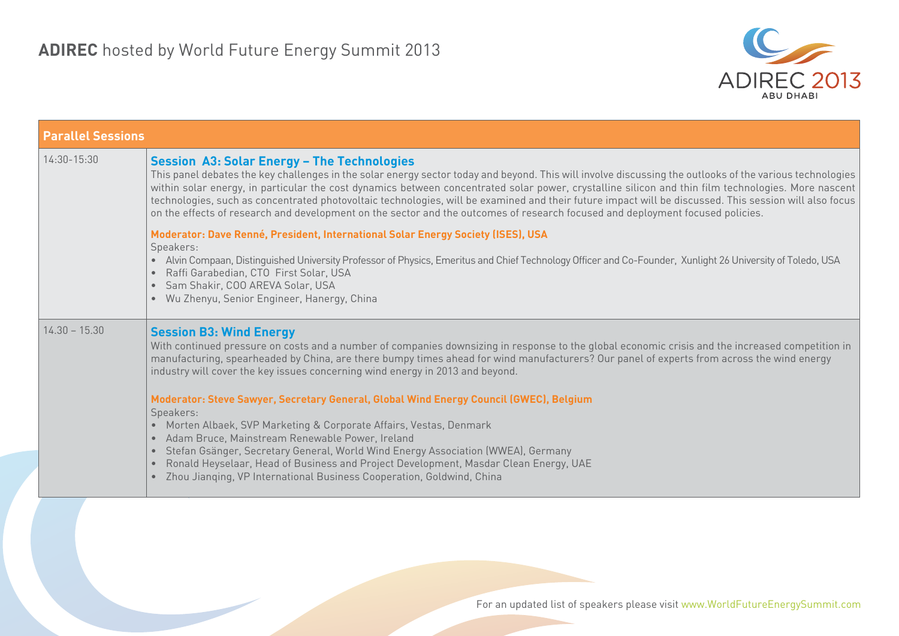

| <b>Parallel Sessions</b> |                                                                                                                                                                                                                                                                                                                                                                                                                                                                                                                                                                                                                                                                                                                                                                                                                                                                                                          |  |
|--------------------------|----------------------------------------------------------------------------------------------------------------------------------------------------------------------------------------------------------------------------------------------------------------------------------------------------------------------------------------------------------------------------------------------------------------------------------------------------------------------------------------------------------------------------------------------------------------------------------------------------------------------------------------------------------------------------------------------------------------------------------------------------------------------------------------------------------------------------------------------------------------------------------------------------------|--|
| 14:30-15:30              | <b>Session A3: Solar Energy - The Technologies</b><br>This panel debates the key challenges in the solar energy sector today and beyond. This will involve discussing the outlooks of the various technologies<br>within solar energy, in particular the cost dynamics between concentrated solar power, crystalline silicon and thin film technologies. More nascent<br>technologies, such as concentrated photovoltaic technologies, will be examined and their future impact will be discussed. This session will also focus<br>on the effects of research and development on the sector and the outcomes of research focused and deployment focused policies.                                                                                                                                                                                                                                        |  |
|                          | Moderator: Dave Renné, President, International Solar Energy Society (ISES), USA<br>Speakers:<br>. Alvin Compaan, Distinguished University Professor of Physics, Emeritus and Chief Technology Officer and Co-Founder, Xunlight 26 University of Toledo, USA<br>Raffi Garabedian, CTO First Solar, USA<br>• Sam Shakir, COO AREVA Solar, USA<br>• Wu Zhenyu, Senior Engineer, Hanergy, China                                                                                                                                                                                                                                                                                                                                                                                                                                                                                                             |  |
| $14.30 - 15.30$          | <b>Session B3: Wind Energy</b><br>With continued pressure on costs and a number of companies downsizing in response to the global economic crisis and the increased competition in<br>manufacturing, spearheaded by China, are there bumpy times ahead for wind manufacturers? Our panel of experts from across the wind energy<br>industry will cover the key issues concerning wind energy in 2013 and beyond.<br>Moderator: Steve Sawyer, Secretary General, Global Wind Energy Council (GWEC), Belgium<br>Speakers:<br>• Morten Albaek, SVP Marketing & Corporate Affairs, Vestas, Denmark<br>• Adam Bruce, Mainstream Renewable Power, Ireland<br>Stefan Gsänger, Secretary General, World Wind Energy Association (WWEA), Germany<br>Ronald Heyselaar, Head of Business and Project Development, Masdar Clean Energy, UAE<br>Zhou Jianging, VP International Business Cooperation, Goldwind, China |  |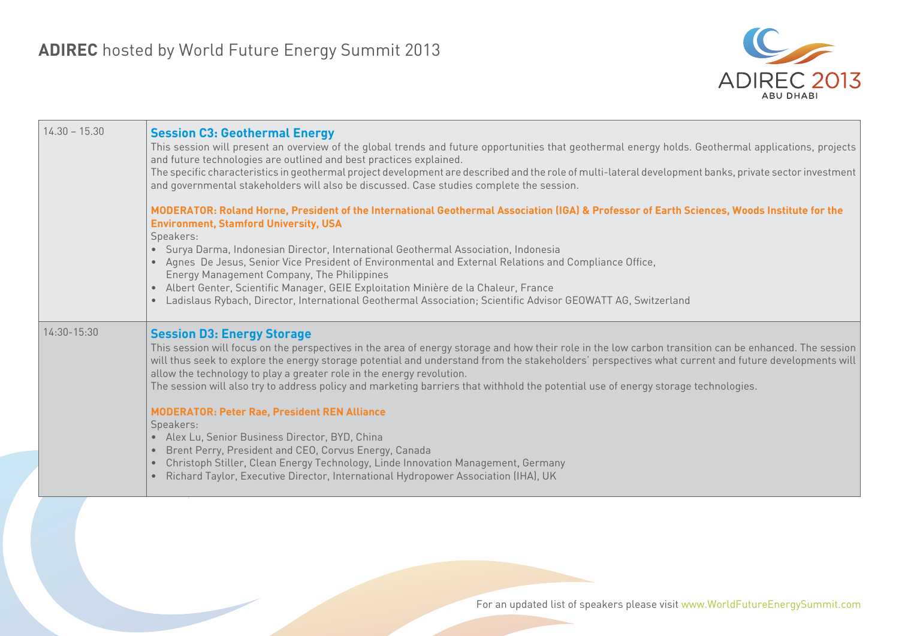

| $14.30 - 15.30$ | <b>Session C3: Geothermal Energy</b><br>This session will present an overview of the global trends and future opportunities that geothermal energy holds. Geothermal applications, projects<br>and future technologies are outlined and best practices explained.<br>The specific characteristics in geothermal project development are described and the role of multi-lateral development banks, private sector investment<br>and governmental stakeholders will also be discussed. Case studies complete the session.                                          |
|-----------------|-------------------------------------------------------------------------------------------------------------------------------------------------------------------------------------------------------------------------------------------------------------------------------------------------------------------------------------------------------------------------------------------------------------------------------------------------------------------------------------------------------------------------------------------------------------------|
|                 | MODERATOR: Roland Horne, President of the International Geothermal Association (IGA) & Professor of Earth Sciences, Woods Institute for the<br><b>Environment, Stamford University, USA</b><br>Speakers:<br>• Surya Darma, Indonesian Director, International Geothermal Association, Indonesia                                                                                                                                                                                                                                                                   |
|                 | . Agnes De Jesus, Senior Vice President of Environmental and External Relations and Compliance Office,<br>Energy Management Company, The Philippines<br>• Albert Genter, Scientific Manager, GEIE Exploitation Minière de la Chaleur, France<br>Ladislaus Rybach, Director, International Geothermal Association; Scientific Advisor GEOWATT AG, Switzerland                                                                                                                                                                                                      |
| $14:30 - 15:30$ | <b>Session D3: Energy Storage</b><br>This session will focus on the perspectives in the area of energy storage and how their role in the low carbon transition can be enhanced. The session<br>will thus seek to explore the energy storage potential and understand from the stakeholders' perspectives what current and future developments will<br>allow the technology to play a greater role in the energy revolution.<br>The session will also try to address policy and marketing barriers that withhold the potential use of energy storage technologies. |
|                 | <b>MODERATOR: Peter Rae, President REN Alliance</b><br>Speakers:<br>• Alex Lu, Senior Business Director, BYD, China<br>Brent Perry, President and CEO, Corvus Energy, Canada<br>Christoph Stiller, Clean Energy Technology, Linde Innovation Management, Germany<br>$\bullet$<br>Richard Taylor, Executive Director, International Hydropower Association (IHA), UK                                                                                                                                                                                               |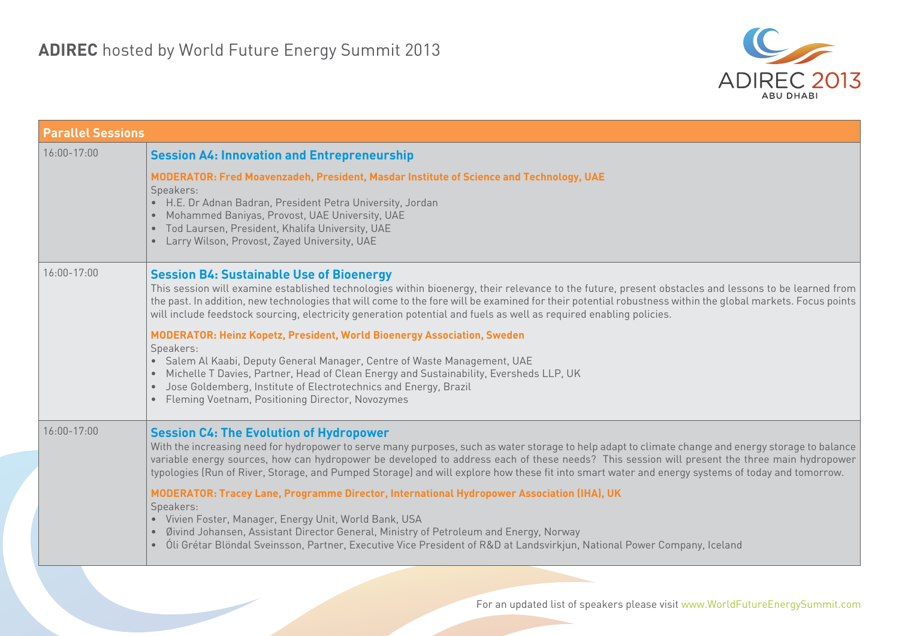

| <b>Parallel Sessions</b> |                                                                                                                                                                                                                                                                                                                                                                                                                                                                                                           |  |
|--------------------------|-----------------------------------------------------------------------------------------------------------------------------------------------------------------------------------------------------------------------------------------------------------------------------------------------------------------------------------------------------------------------------------------------------------------------------------------------------------------------------------------------------------|--|
| $16:00 - 17:00$          | <b>Session A4: Innovation and Entrepreneurship</b>                                                                                                                                                                                                                                                                                                                                                                                                                                                        |  |
|                          | MODERATOR: Fred Moavenzadeh, President, Masdar Institute of Science and Technology, UAE<br>Speakers:<br>• H.E. Dr Adnan Badran, President Petra University, Jordan<br>• Mohammed Baniyas, Provost, UAE University, UAE<br>· Tod Laursen, President, Khalifa University, UAE<br>• Larry Wilson, Provost, Zayed University, UAE                                                                                                                                                                             |  |
| $16:00 - 17:00$          | <b>Session B4: Sustainable Use of Bioenergy</b><br>This session will examine established technologies within bioenergy, their relevance to the future, present obstacles and lessons to be learned from<br>the past. In addition, new technologies that will come to the fore will be examined for their potential robustness within the global markets. Focus points<br>will include feedstock sourcing, electricity generation potential and fuels as well as required enabling policies.               |  |
|                          | MODERATOR: Heinz Kopetz, President, World Bioenergy Association, Sweden<br>Speakers:<br>• Salem Al Kaabi, Deputy General Manager, Centre of Waste Management, UAE<br>• Michelle T Davies, Partner, Head of Clean Energy and Sustainability, Eversheds LLP, UK<br>Jose Goldemberg, Institute of Electrotechnics and Energy, Brazil<br>• Fleming Voetnam, Positioning Director, Novozymes                                                                                                                   |  |
| $16:00 - 17:00$          | <b>Session C4: The Evolution of Hydropower</b><br>With the increasing need for hydropower to serve many purposes, such as water storage to help adapt to climate change and energy storage to balance<br>variable energy sources, how can hydropower be developed to address each of these needs? This session will present the three main hydropower<br>typologies (Run of River, Storage, and Pumped Storage) and will explore how these fit into smart water and energy systems of today and tomorrow. |  |
|                          | MODERATOR: Tracey Lane, Programme Director, International Hydropower Association (IHA), UK<br>Speakers:<br>• Vivien Foster, Manager, Energy Unit, World Bank, USA<br>· Øivind Johansen, Assistant Director General, Ministry of Petroleum and Energy, Norway<br>· Óli Grétar Blöndal Sveinsson, Partner, Executive Vice President of R&D at Landsvirkjun, National Power Company, Iceland                                                                                                                 |  |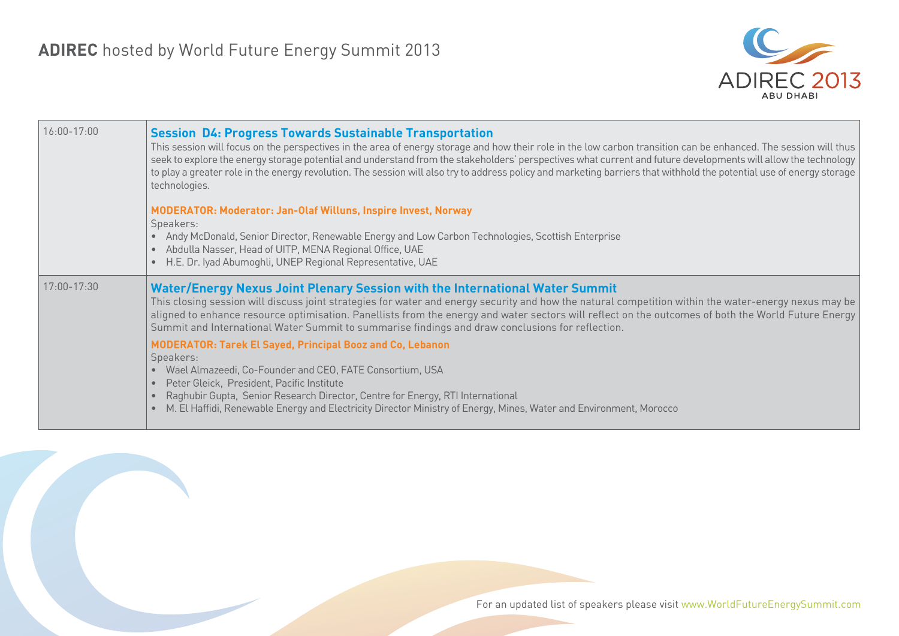

| $16:00 - 17:00$ | <b>Session D4: Progress Towards Sustainable Transportation</b><br>This session will focus on the perspectives in the area of energy storage and how their role in the low carbon transition can be enhanced. The session will thus<br>seek to explore the energy storage potential and understand from the stakeholders' perspectives what current and future developments will allow the technology<br>to play a greater role in the energy revolution. The session will also try to address policy and marketing barriers that withhold the potential use of energy storage<br>technologies. |
|-----------------|------------------------------------------------------------------------------------------------------------------------------------------------------------------------------------------------------------------------------------------------------------------------------------------------------------------------------------------------------------------------------------------------------------------------------------------------------------------------------------------------------------------------------------------------------------------------------------------------|
|                 | <b>MODERATOR: Moderator: Jan-Olaf Willuns, Inspire Invest, Norway</b><br>Speakers:<br>Andy McDonald, Senior Director, Renewable Energy and Low Carbon Technologies, Scottish Enterprise<br>Abdulla Nasser, Head of UITP, MENA Regional Office, UAE<br>H.E. Dr. Iyad Abumoghli, UNEP Regional Representative, UAE                                                                                                                                                                                                                                                                               |
| $17:00 - 17:30$ | Water/Energy Nexus Joint Plenary Session with the International Water Summit<br>This closing session will discuss joint strategies for water and energy security and how the natural competition within the water-energy nexus may be<br>aligned to enhance resource optimisation. Panellists from the energy and water sectors will reflect on the outcomes of both the World Future Energy<br>Summit and International Water Summit to summarise findings and draw conclusions for reflection.                                                                                               |
|                 | <b>MODERATOR: Tarek El Sayed, Principal Booz and Co, Lebanon</b><br>Speakers:<br>• Wael Almazeedi, Co-Founder and CEO, FATE Consortium, USA<br>• Peter Gleick, President, Pacific Institute<br>Raghubir Gupta, Senior Research Director, Centre for Energy, RTI International<br>M. El Haffidi, Renewable Energy and Electricity Director Ministry of Energy, Mines, Water and Environment, Morocco                                                                                                                                                                                            |